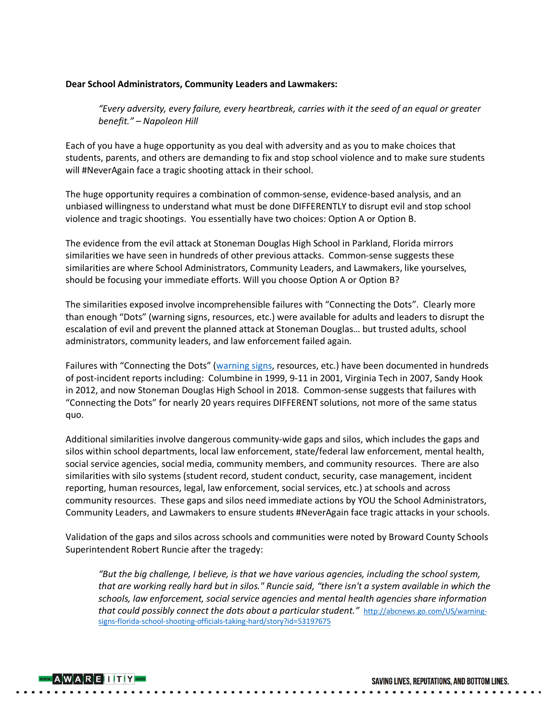## **Dear School Administrators, Community Leaders and Lawmakers:**

*"Every adversity, every failure, every heartbreak, carries with it the seed of an equal or greater benefit." – Napoleon Hill*

Each of you have a huge opportunity as you deal with adversity and as you to make choices that students, parents, and others are demanding to fix and stop school violence and to make sure students will #NeverAgain face a tragic shooting attack in their school.

The huge opportunity requires a combination of common-sense, evidence-based analysis, and an unbiased willingness to understand what must be done DIFFERENTLY to disrupt evil and stop school violence and tragic shootings. You essentially have two choices: Option A or Option B.

The evidence from the evil attack at Stoneman Douglas High School in Parkland, Florida mirrors similarities we have seen in hundreds of other previous attacks. Common-sense suggests these similarities are where School Administrators, Community Leaders, and Lawmakers, like yourselves, should be focusing your immediate efforts. Will you choose Option A or Option B?

The similarities exposed involve incomprehensible failures with "Connecting the Dots". Clearly more than enough "Dots" (warning signs, resources, etc.) were available for adults and leaders to disrupt the escalation of evil and prevent the planned attack at Stoneman Douglas… but trusted adults, school administrators, community leaders, and law enforcement failed again.

Failures with "Connecting the Dots" (warning signs, resources, etc.) have been documented in hundreds of post-incident reports including: Columbine in 1999, 9-11 in 2001, Virginia Tech in 2007, Sandy Hook in 2012, and now Stoneman Douglas High School in 2018. Common-sense suggests that failures with "Connecting the Dots" for nearly 20 years requires DIFFERENT solutions, not more of the same status quo.

Additional similarities involve dangerous community-wide gaps and silos, which includes the gaps and silos within school departments, local law enforcement, state/federal law enforcement, mental health, social service agencies, social media, community members, and community resources. There are also similarities with silo systems (student record, student conduct, security, case management, incident reporting, human resources, legal, law enforcement, social services, etc.) at schools and across community resources. These gaps and silos need immediate actions by YOU the School Administrators, Community Leaders, and Lawmakers to ensure students #NeverAgain face tragic attacks in your schools.

Validation of the gaps and silos across schools and communities were noted by Broward County Schools Superintendent Robert Runcie after the tragedy:

*"But the big challenge, I believe, is that we have various agencies, including the school system, that are working really hard but in silos." Runcie said, "there isn't a system available in which the schools, law enforcement, social service agencies and mental health agencies share information that could possibly connect the dots about a particular student."* http://abcnews.go.com/US/warningsigns-florida-school-shooting-officials-taking-hard/story?id=53197675



SAVING LIVES, REPUTATIONS, AND BOTTOM LINES.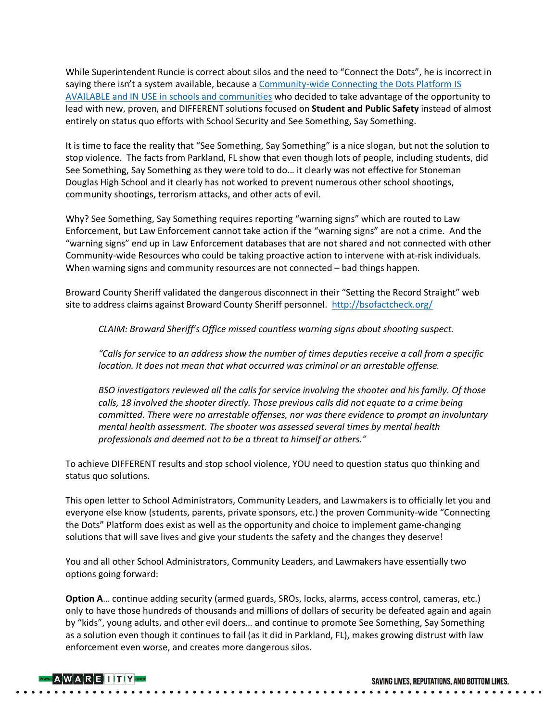While Superintendent Runcie is correct about silos and the need to "Connect the Dots", he is incorrect in saying there isn't a system available, because a Community-wide Connecting the Dots Platform IS AVAILABLE and IN USE in schools and communities who decided to take advantage of the opportunity to lead with new, proven, and DIFFERENT solutions focused on **Student and Public Safety** instead of almost entirely on status quo efforts with School Security and See Something, Say Something.

It is time to face the reality that "See Something, Say Something" is a nice slogan, but not the solution to stop violence. The facts from Parkland, FL show that even though lots of people, including students, did See Something, Say Something as they were told to do… it clearly was not effective for Stoneman Douglas High School and it clearly has not worked to prevent numerous other school shootings, community shootings, terrorism attacks, and other acts of evil.

Why? See Something, Say Something requires reporting "warning signs" which are routed to Law Enforcement, but Law Enforcement cannot take action if the "warning signs" are not a crime. And the "warning signs" end up in Law Enforcement databases that are not shared and not connected with other Community-wide Resources who could be taking proactive action to intervene with at-risk individuals. When warning signs and community resources are not connected – bad things happen.

Broward County Sheriff validated the dangerous disconnect in their "Setting the Record Straight" web site to address claims against Broward County Sheriff personnel. http://bsofactcheck.org/

*CLAIM: Broward Sheriff's Office missed countless warning signs about shooting suspect.*

*"Calls for service to an address show the number of times deputies receive a call from a specific location. It does not mean that what occurred was criminal or an arrestable offense.*

*BSO investigators reviewed all the calls for service involving the shooter and his family. Of those calls, 18 involved the shooter directly. Those previous calls did not equate to a crime being committed. There were no arrestable offenses, nor was there evidence to prompt an involuntary mental health assessment. The shooter was assessed several times by mental health professionals and deemed not to be a threat to himself or others."*

To achieve DIFFERENT results and stop school violence, YOU need to question status quo thinking and status quo solutions.

This open letter to School Administrators, Community Leaders, and Lawmakers is to officially let you and everyone else know (students, parents, private sponsors, etc.) the proven Community-wide "Connecting the Dots" Platform does exist as well as the opportunity and choice to implement game-changing solutions that will save lives and give your students the safety and the changes they deserve!

You and all other School Administrators, Community Leaders, and Lawmakers have essentially two options going forward:

**Option A**… continue adding security (armed guards, SROs, locks, alarms, access control, cameras, etc.) only to have those hundreds of thousands and millions of dollars of security be defeated again and again by "kids", young adults, and other evil doers… and continue to promote See Something, Say Something as a solution even though it continues to fail (as it did in Parkland, FL), makes growing distrust with law enforcement even worse, and creates more dangerous silos.



SAVING LIVES, REPUTATIONS, AND BOTTOM LINES.